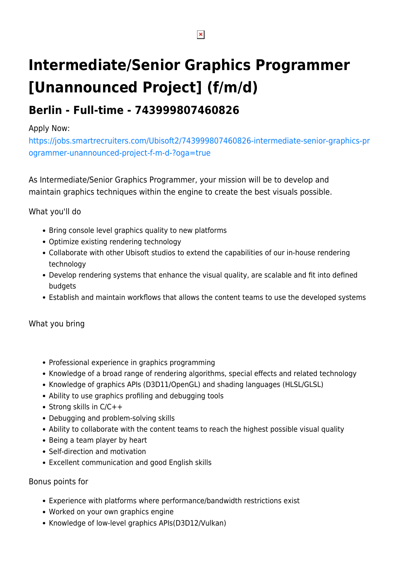# **Intermediate/Senior Graphics Programmer [Unannounced Project] (f/m/d)**

## **Berlin - Full-time - 743999807460826**

#### Apply Now:

[https://jobs.smartrecruiters.com/Ubisoft2/743999807460826-intermediate-senior-graphics-pr](https://jobs.smartrecruiters.com/Ubisoft2/743999807460826-intermediate-senior-graphics-programmer-unannounced-project-f-m-d-?oga=true) [ogrammer-unannounced-project-f-m-d-?oga=true](https://jobs.smartrecruiters.com/Ubisoft2/743999807460826-intermediate-senior-graphics-programmer-unannounced-project-f-m-d-?oga=true)

As Intermediate/Senior Graphics Programmer, your mission will be to develop and maintain graphics techniques within the engine to create the best visuals possible.

### What you'll do

- Bring console level graphics quality to new platforms
- Optimize existing rendering technology
- Collaborate with other Ubisoft studios to extend the capabilities of our in-house rendering technology
- Develop rendering systems that enhance the visual quality, are scalable and fit into defined budgets
- Establish and maintain workflows that allows the content teams to use the developed systems

#### What you bring

- Professional experience in graphics programming
- Knowledge of a broad range of rendering algorithms, special effects and related technology
- Knowledge of graphics APIs (D3D11/OpenGL) and shading languages (HLSL/GLSL)
- Ability to use graphics profiling and debugging tools
- Strong skills in  $C/C++$
- Debugging and problem-solving skills
- Ability to collaborate with the content teams to reach the highest possible visual quality
- Being a team player by heart
- Self-direction and motivation
- Excellent communication and good English skills

#### Bonus points for

- Experience with platforms where performance/bandwidth restrictions exist
- Worked on your own graphics engine
- Knowledge of low-level graphics APIs(D3D12/Vulkan)

 $\pmb{\times}$